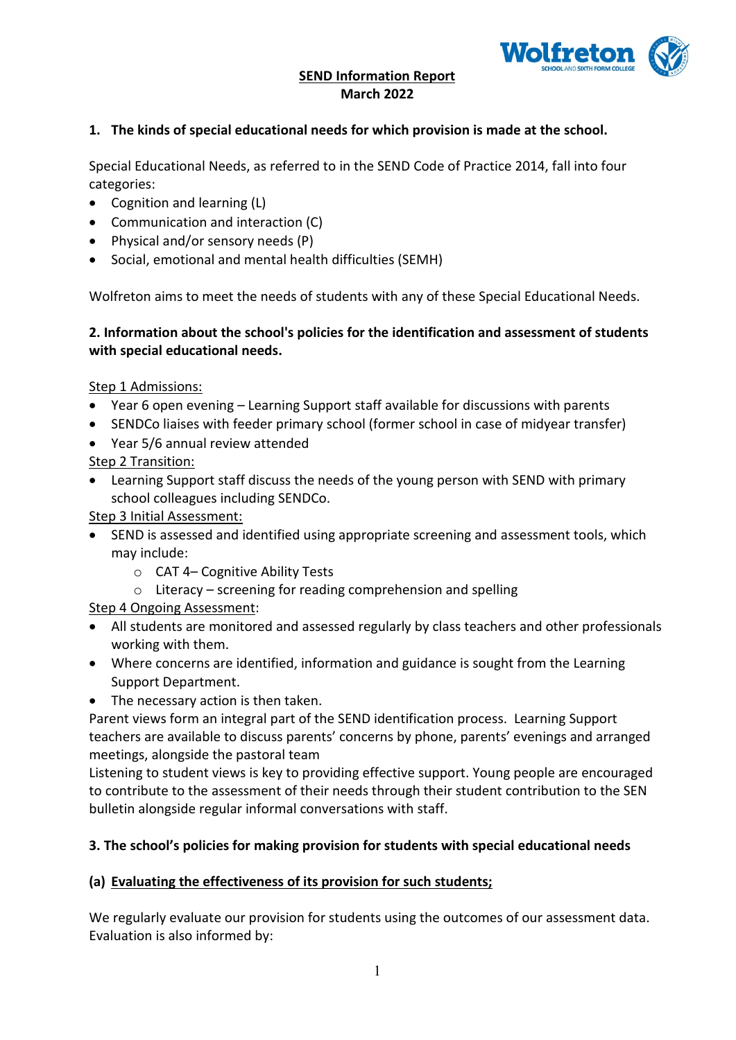

### **SEND Information Report March 2022**

#### **1. The kinds of special educational needs for which provision is made at the school.**

Special Educational Needs, as referred to in the SEND Code of Practice 2014, fall into four categories:

- Cognition and learning (L)
- Communication and interaction (C)
- Physical and/or sensory needs (P)
- Social, emotional and mental health difficulties (SEMH)

Wolfreton aims to meet the needs of students with any of these Special Educational Needs.

#### **2. Information about the school's policies for the identification and assessment of students with special educational needs.**

Step 1 Admissions:

- Year 6 open evening Learning Support staff available for discussions with parents
- SENDCo liaises with feeder primary school (former school in case of midyear transfer)
- Year 5/6 annual review attended Step 2 Transition:
- Learning Support staff discuss the needs of the young person with SEND with primary school colleagues including SENDCo.

Step 3 Initial Assessment:

- SEND is assessed and identified using appropriate screening and assessment tools, which may include:
	- o CAT 4– Cognitive Ability Tests
	- $\circ$  Literacy screening for reading comprehension and spelling

Step 4 Ongoing Assessment:

- All students are monitored and assessed regularly by class teachers and other professionals working with them.
- Where concerns are identified, information and guidance is sought from the Learning Support Department.
- The necessary action is then taken.

Parent views form an integral part of the SEND identification process. Learning Support teachers are available to discuss parents' concerns by phone, parents' evenings and arranged meetings, alongside the pastoral team

Listening to student views is key to providing effective support. Young people are encouraged to contribute to the assessment of their needs through their student contribution to the SEN bulletin alongside regular informal conversations with staff.

#### **3. The school's policies for making provision for students with special educational needs**

#### **(a) Evaluating the effectiveness of its provision for such students;**

We regularly evaluate our provision for students using the outcomes of our assessment data. Evaluation is also informed by: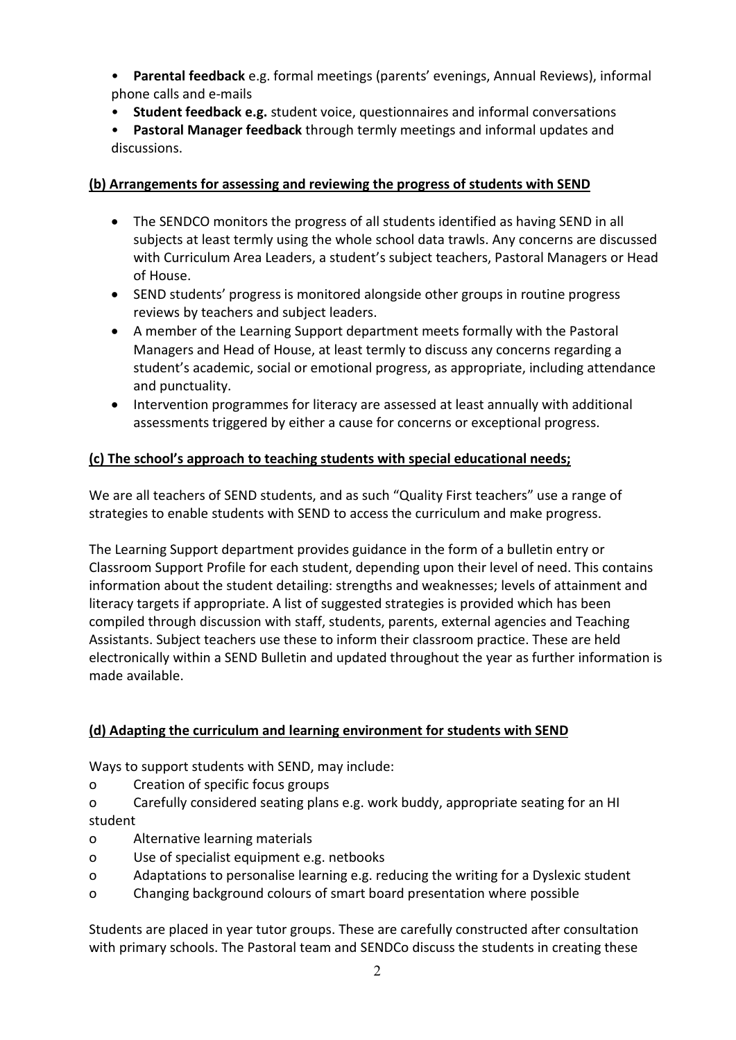• **Parental feedback** e.g. formal meetings (parents' evenings, Annual Reviews), informal phone calls and e-mails

- **Student feedback e.g.** student voice, questionnaires and informal conversations
- **Pastoral Manager feedback** through termly meetings and informal updates and discussions.

### **(b) Arrangements for assessing and reviewing the progress of students with SEND**

- The SENDCO monitors the progress of all students identified as having SEND in all subjects at least termly using the whole school data trawls. Any concerns are discussed with Curriculum Area Leaders, a student's subject teachers, Pastoral Managers or Head of House.
- SEND students' progress is monitored alongside other groups in routine progress reviews by teachers and subject leaders.
- A member of the Learning Support department meets formally with the Pastoral Managers and Head of House, at least termly to discuss any concerns regarding a student's academic, social or emotional progress, as appropriate, including attendance and punctuality.
- Intervention programmes for literacy are assessed at least annually with additional assessments triggered by either a cause for concerns or exceptional progress.

### **(c) The school's approach to teaching students with special educational needs;**

We are all teachers of SEND students, and as such "Quality First teachers" use a range of strategies to enable students with SEND to access the curriculum and make progress.

The Learning Support department provides guidance in the form of a bulletin entry or Classroom Support Profile for each student, depending upon their level of need. This contains information about the student detailing: strengths and weaknesses; levels of attainment and literacy targets if appropriate. A list of suggested strategies is provided which has been compiled through discussion with staff, students, parents, external agencies and Teaching Assistants. Subject teachers use these to inform their classroom practice. These are held electronically within a SEND Bulletin and updated throughout the year as further information is made available.

### **(d) Adapting the curriculum and learning environment for students with SEND**

Ways to support students with SEND, may include:

- o Creation of specific focus groups
- o Carefully considered seating plans e.g. work buddy, appropriate seating for an HI student
- o Alternative learning materials
- o Use of specialist equipment e.g. netbooks
- o Adaptations to personalise learning e.g. reducing the writing for a Dyslexic student
- o Changing background colours of smart board presentation where possible

Students are placed in year tutor groups. These are carefully constructed after consultation with primary schools. The Pastoral team and SENDCo discuss the students in creating these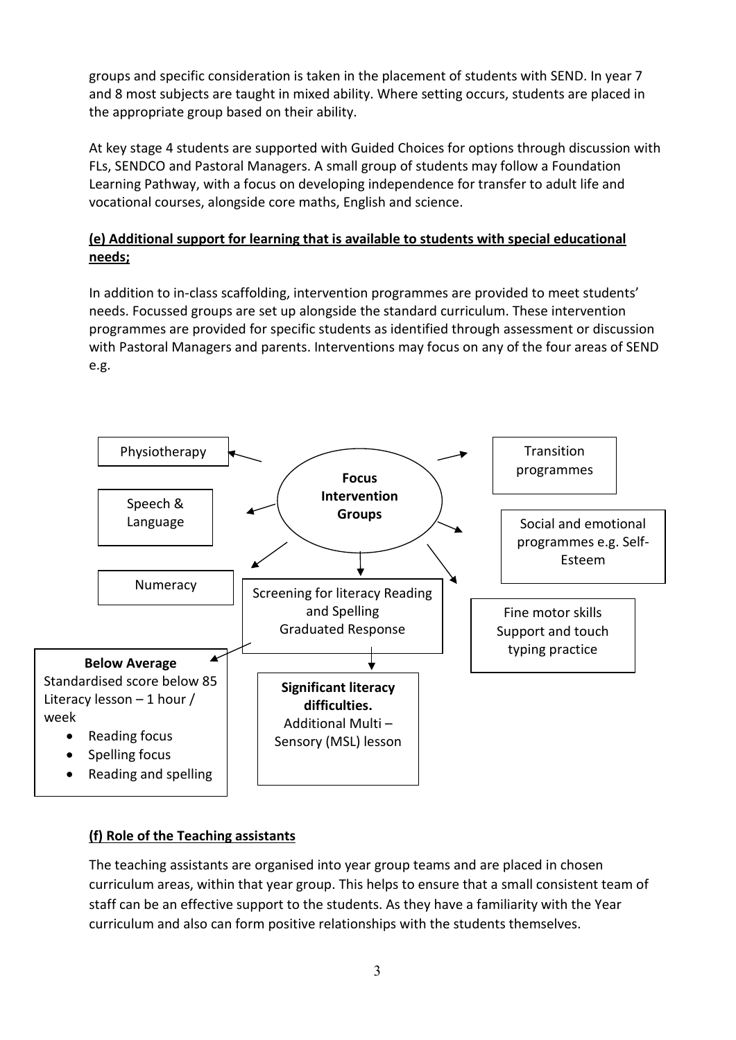groups and specific consideration is taken in the placement of students with SEND. In year 7 and 8 most subjects are taught in mixed ability. Where setting occurs, students are placed in the appropriate group based on their ability.

At key stage 4 students are supported with Guided Choices for options through discussion with FLs, SENDCO and Pastoral Managers. A small group of students may follow a Foundation Learning Pathway, with a focus on developing independence for transfer to adult life and vocational courses, alongside core maths, English and science.

# **(e) Additional support for learning that is available to students with special educational needs;**

In addition to in-class scaffolding, intervention programmes are provided to meet students' needs. Focussed groups are set up alongside the standard curriculum. These intervention programmes are provided for specific students as identified through assessment or discussion with Pastoral Managers and parents. Interventions may focus on any of the four areas of SEND e.g.



# **(f) Role of the Teaching assistants**

The teaching assistants are organised into year group teams and are placed in chosen curriculum areas, within that year group. This helps to ensure that a small consistent team of staff can be an effective support to the students. As they have a familiarity with the Year curriculum and also can form positive relationships with the students themselves.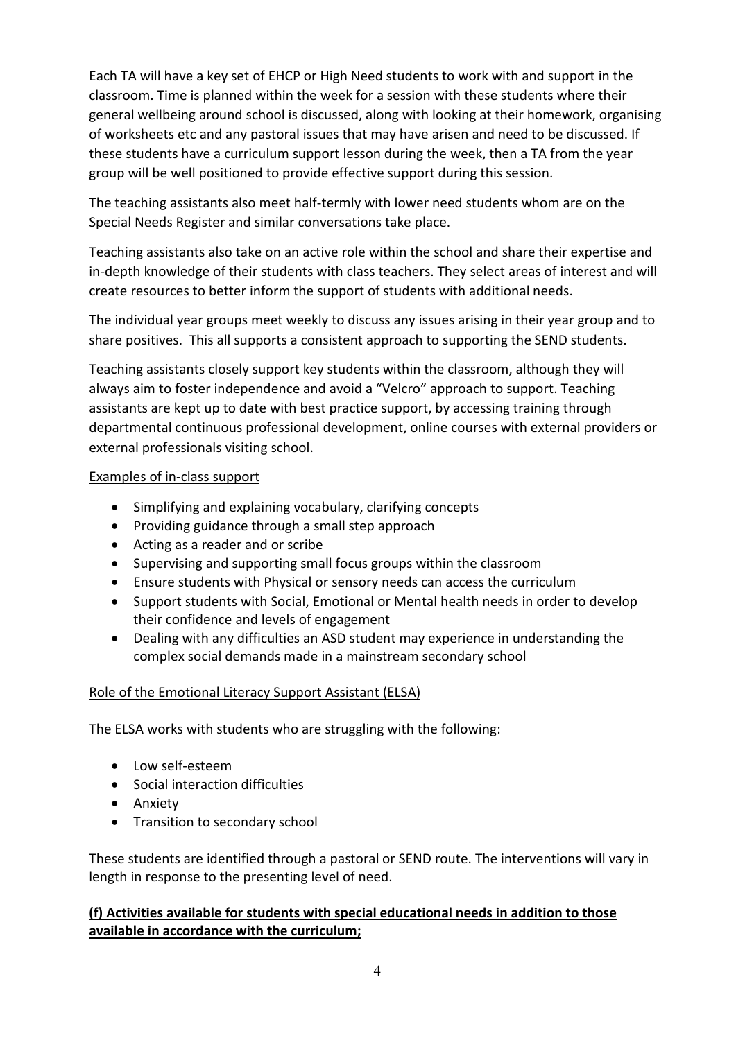Each TA will have a key set of EHCP or High Need students to work with and support in the classroom. Time is planned within the week for a session with these students where their general wellbeing around school is discussed, along with looking at their homework, organising of worksheets etc and any pastoral issues that may have arisen and need to be discussed. If these students have a curriculum support lesson during the week, then a TA from the year group will be well positioned to provide effective support during this session.

The teaching assistants also meet half-termly with lower need students whom are on the Special Needs Register and similar conversations take place.

Teaching assistants also take on an active role within the school and share their expertise and in-depth knowledge of their students with class teachers. They select areas of interest and will create resources to better inform the support of students with additional needs.

The individual year groups meet weekly to discuss any issues arising in their year group and to share positives. This all supports a consistent approach to supporting the SEND students.

Teaching assistants closely support key students within the classroom, although they will always aim to foster independence and avoid a "Velcro" approach to support. Teaching assistants are kept up to date with best practice support, by accessing training through departmental continuous professional development, online courses with external providers or external professionals visiting school.

### Examples of in-class support

- Simplifying and explaining vocabulary, clarifying concepts
- Providing guidance through a small step approach
- Acting as a reader and or scribe
- Supervising and supporting small focus groups within the classroom
- Ensure students with Physical or sensory needs can access the curriculum
- Support students with Social, Emotional or Mental health needs in order to develop their confidence and levels of engagement
- Dealing with any difficulties an ASD student may experience in understanding the complex social demands made in a mainstream secondary school

# Role of the Emotional Literacy Support Assistant (ELSA)

The ELSA works with students who are struggling with the following:

- Low self-esteem
- Social interaction difficulties
- Anxiety
- Transition to secondary school

These students are identified through a pastoral or SEND route. The interventions will vary in length in response to the presenting level of need.

## **(f) Activities available for students with special educational needs in addition to those available in accordance with the curriculum;**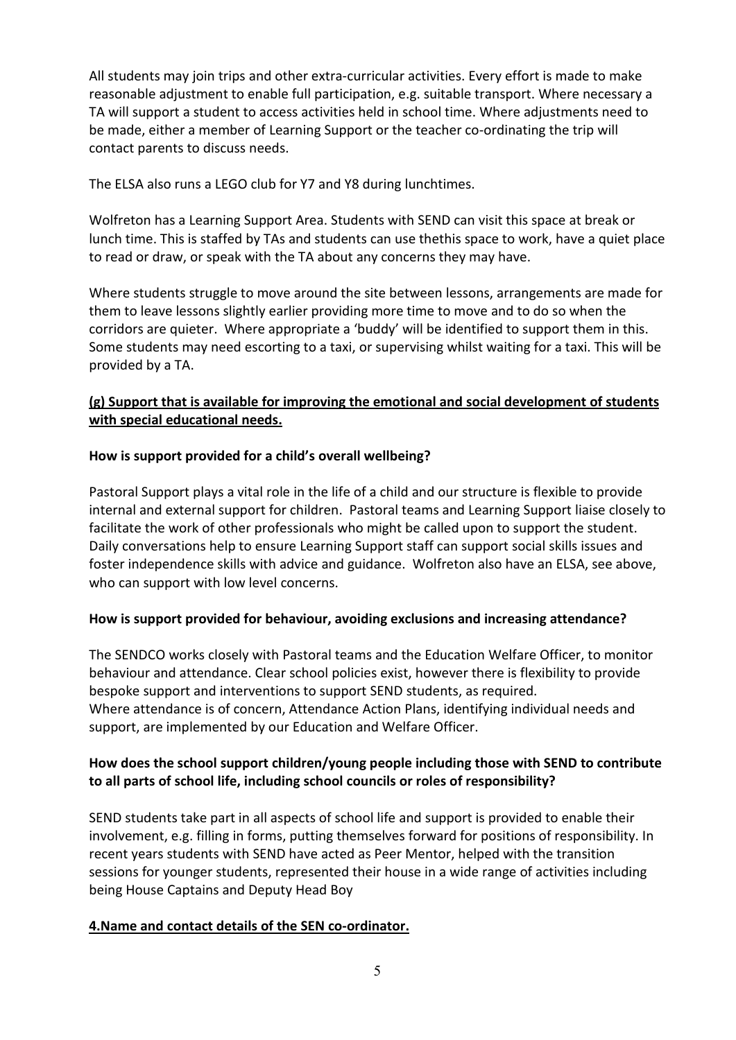All students may join trips and other extra-curricular activities. Every effort is made to make reasonable adjustment to enable full participation, e.g. suitable transport. Where necessary a TA will support a student to access activities held in school time. Where adjustments need to be made, either a member of Learning Support or the teacher co-ordinating the trip will contact parents to discuss needs.

The ELSA also runs a LEGO club for Y7 and Y8 during lunchtimes.

Wolfreton has a Learning Support Area. Students with SEND can visit this space at break or lunch time. This is staffed by TAs and students can use thethis space to work, have a quiet place to read or draw, or speak with the TA about any concerns they may have.

Where students struggle to move around the site between lessons, arrangements are made for them to leave lessons slightly earlier providing more time to move and to do so when the corridors are quieter. Where appropriate a 'buddy' will be identified to support them in this. Some students may need escorting to a taxi, or supervising whilst waiting for a taxi. This will be provided by a TA.

### **(g) Support that is available for improving the emotional and social development of students with special educational needs.**

### **How is support provided for a child's overall wellbeing?**

Pastoral Support plays a vital role in the life of a child and our structure is flexible to provide internal and external support for children. Pastoral teams and Learning Support liaise closely to facilitate the work of other professionals who might be called upon to support the student. Daily conversations help to ensure Learning Support staff can support social skills issues and foster independence skills with advice and guidance. Wolfreton also have an ELSA, see above, who can support with low level concerns.

### **How is support provided for behaviour, avoiding exclusions and increasing attendance?**

The SENDCO works closely with Pastoral teams and the Education Welfare Officer, to monitor behaviour and attendance. Clear school policies exist, however there is flexibility to provide bespoke support and interventions to support SEND students, as required. Where attendance is of concern, Attendance Action Plans, identifying individual needs and support, are implemented by our Education and Welfare Officer.

## **How does the school support children/young people including those with SEND to contribute to all parts of school life, including school councils or roles of responsibility?**

SEND students take part in all aspects of school life and support is provided to enable their involvement, e.g. filling in forms, putting themselves forward for positions of responsibility. In recent years students with SEND have acted as Peer Mentor, helped with the transition sessions for younger students, represented their house in a wide range of activities including being House Captains and Deputy Head Boy

### **4.Name and contact details of the SEN co-ordinator.**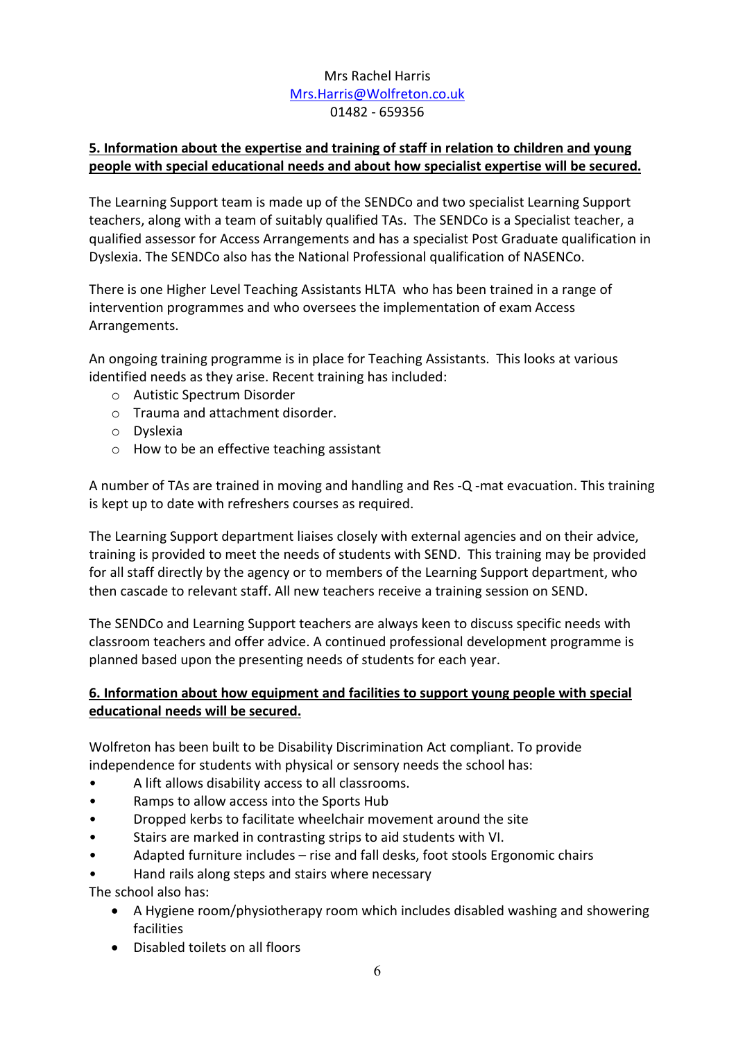## Mrs Rachel Harris [Mrs.Harris@Wolfreton.co.uk](mailto:Mrs.Harris@Wolfreton.co.uk) 01482 - 659356

## **5. Information about the expertise and training of staff in relation to children and young people with special educational needs and about how specialist expertise will be secured.**

The Learning Support team is made up of the SENDCo and two specialist Learning Support teachers, along with a team of suitably qualified TAs. The SENDCo is a Specialist teacher, a qualified assessor for Access Arrangements and has a specialist Post Graduate qualification in Dyslexia. The SENDCo also has the National Professional qualification of NASENCo.

There is one Higher Level Teaching Assistants HLTA who has been trained in a range of intervention programmes and who oversees the implementation of exam Access Arrangements.

An ongoing training programme is in place for Teaching Assistants. This looks at various identified needs as they arise. Recent training has included:

- o Autistic Spectrum Disorder
- o Trauma and attachment disorder.
- o Dyslexia
- o How to be an effective teaching assistant

A number of TAs are trained in moving and handling and Res -Q -mat evacuation. This training is kept up to date with refreshers courses as required.

The Learning Support department liaises closely with external agencies and on their advice, training is provided to meet the needs of students with SEND. This training may be provided for all staff directly by the agency or to members of the Learning Support department, who then cascade to relevant staff. All new teachers receive a training session on SEND.

The SENDCo and Learning Support teachers are always keen to discuss specific needs with classroom teachers and offer advice. A continued professional development programme is planned based upon the presenting needs of students for each year.

## **6. Information about how equipment and facilities to support young people with special educational needs will be secured.**

Wolfreton has been built to be Disability Discrimination Act compliant. To provide independence for students with physical or sensory needs the school has:

- A lift allows disability access to all classrooms.
- Ramps to allow access into the Sports Hub
- Dropped kerbs to facilitate wheelchair movement around the site
- Stairs are marked in contrasting strips to aid students with VI.
- Adapted furniture includes rise and fall desks, foot stools Ergonomic chairs
- Hand rails along steps and stairs where necessary

The school also has:

- A Hygiene room/physiotherapy room which includes disabled washing and showering facilities
- Disabled toilets on all floors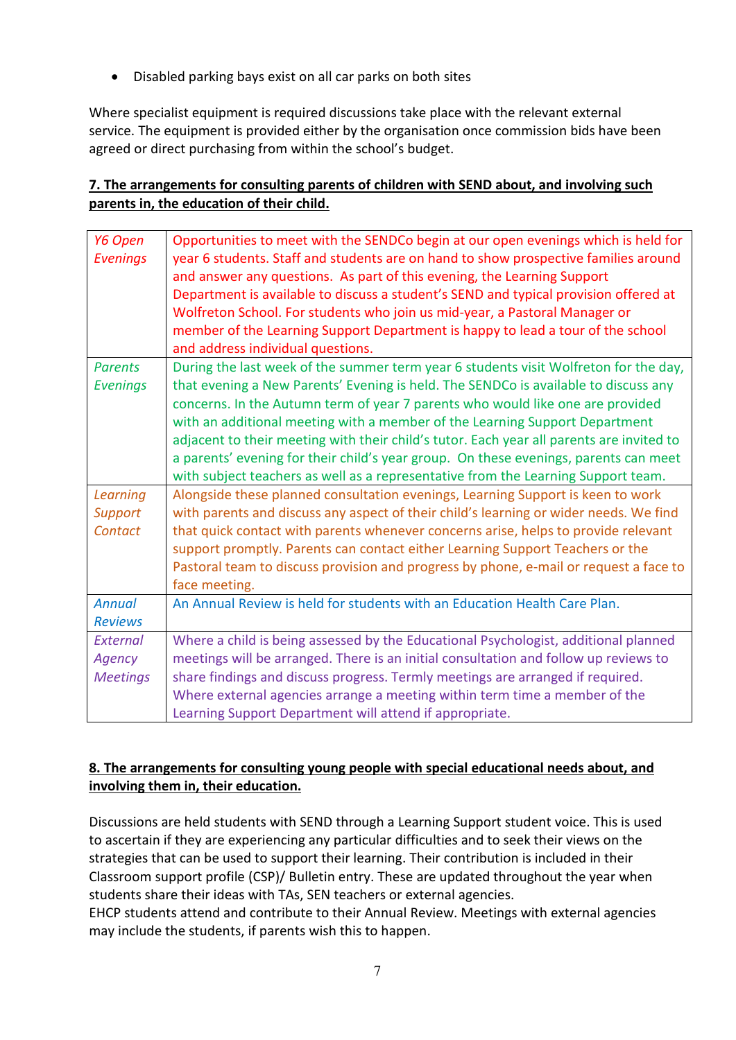• Disabled parking bays exist on all car parks on both sites

Where specialist equipment is required discussions take place with the relevant external service. The equipment is provided either by the organisation once commission bids have been agreed or direct purchasing from within the school's budget.

# **7. The arrangements for consulting parents of children with SEND about, and involving such parents in, the education of their child.**

| Y6 Open         | Opportunities to meet with the SENDCo begin at our open evenings which is held for       |
|-----------------|------------------------------------------------------------------------------------------|
| <b>Evenings</b> | year 6 students. Staff and students are on hand to show prospective families around      |
|                 | and answer any questions. As part of this evening, the Learning Support                  |
|                 | Department is available to discuss a student's SEND and typical provision offered at     |
|                 | Wolfreton School. For students who join us mid-year, a Pastoral Manager or               |
|                 | member of the Learning Support Department is happy to lead a tour of the school          |
|                 | and address individual questions.                                                        |
| <b>Parents</b>  | During the last week of the summer term year 6 students visit Wolfreton for the day,     |
| <b>Evenings</b> | that evening a New Parents' Evening is held. The SENDCo is available to discuss any      |
|                 | concerns. In the Autumn term of year 7 parents who would like one are provided           |
|                 | with an additional meeting with a member of the Learning Support Department              |
|                 | adjacent to their meeting with their child's tutor. Each year all parents are invited to |
|                 | a parents' evening for their child's year group. On these evenings, parents can meet     |
|                 | with subject teachers as well as a representative from the Learning Support team.        |
| Learning        | Alongside these planned consultation evenings, Learning Support is keen to work          |
| <b>Support</b>  | with parents and discuss any aspect of their child's learning or wider needs. We find    |
| Contact         | that quick contact with parents whenever concerns arise, helps to provide relevant       |
|                 | support promptly. Parents can contact either Learning Support Teachers or the            |
|                 | Pastoral team to discuss provision and progress by phone, e-mail or request a face to    |
|                 | face meeting.                                                                            |
| <b>Annual</b>   | An Annual Review is held for students with an Education Health Care Plan.                |
| <b>Reviews</b>  |                                                                                          |
| External        | Where a child is being assessed by the Educational Psychologist, additional planned      |
| Agency          | meetings will be arranged. There is an initial consultation and follow up reviews to     |
| <b>Meetings</b> | share findings and discuss progress. Termly meetings are arranged if required.           |
|                 | Where external agencies arrange a meeting within term time a member of the               |
|                 | Learning Support Department will attend if appropriate.                                  |

# **8. The arrangements for consulting young people with special educational needs about, and involving them in, their education.**

Discussions are held students with SEND through a Learning Support student voice. This is used to ascertain if they are experiencing any particular difficulties and to seek their views on the strategies that can be used to support their learning. Their contribution is included in their Classroom support profile (CSP)/ Bulletin entry. These are updated throughout the year when students share their ideas with TAs, SEN teachers or external agencies.

EHCP students attend and contribute to their Annual Review. Meetings with external agencies may include the students, if parents wish this to happen.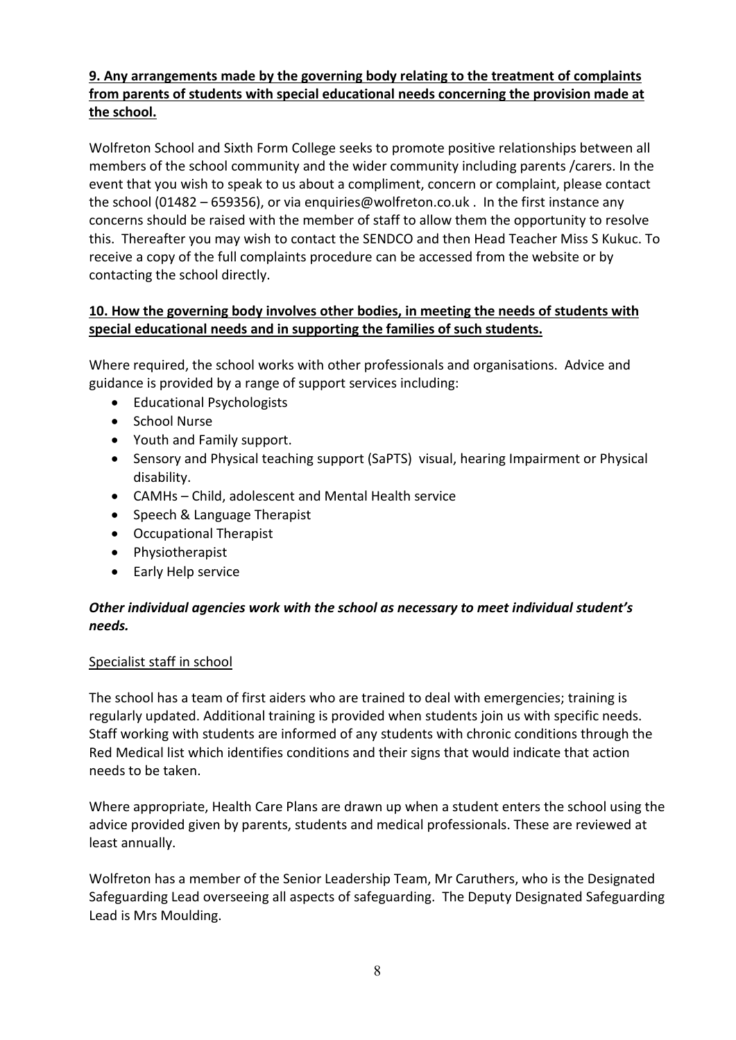## **9. Any arrangements made by the governing body relating to the treatment of complaints from parents of students with special educational needs concerning the provision made at the school.**

Wolfreton School and Sixth Form College seeks to promote positive relationships between all members of the school community and the wider community including parents /carers. In the event that you wish to speak to us about a compliment, concern or complaint, please contact the school (01482 – 659356), or via enquiries@wolfreton.co.uk . In the first instance any concerns should be raised with the member of staff to allow them the opportunity to resolve this. Thereafter you may wish to contact the SENDCO and then Head Teacher Miss S Kukuc. To receive a copy of the full complaints procedure can be accessed from the website or by contacting the school directly.

## **10. How the governing body involves other bodies, in meeting the needs of students with special educational needs and in supporting the families of such students.**

Where required, the school works with other professionals and organisations. Advice and guidance is provided by a range of support services including:

- Educational Psychologists
- School Nurse
- Youth and Family support.
- Sensory and Physical teaching support (SaPTS) visual, hearing Impairment or Physical disability.
- CAMHs Child, adolescent and Mental Health service
- Speech & Language Therapist
- Occupational Therapist
- Physiotherapist
- Early Help service

## *Other individual agencies work with the school as necessary to meet individual student's needs.*

### Specialist staff in school

The school has a team of first aiders who are trained to deal with emergencies; training is regularly updated. Additional training is provided when students join us with specific needs. Staff working with students are informed of any students with chronic conditions through the Red Medical list which identifies conditions and their signs that would indicate that action needs to be taken.

Where appropriate, Health Care Plans are drawn up when a student enters the school using the advice provided given by parents, students and medical professionals. These are reviewed at least annually.

Wolfreton has a member of the Senior Leadership Team, Mr Caruthers, who is the Designated Safeguarding Lead overseeing all aspects of safeguarding. The Deputy Designated Safeguarding Lead is Mrs Moulding.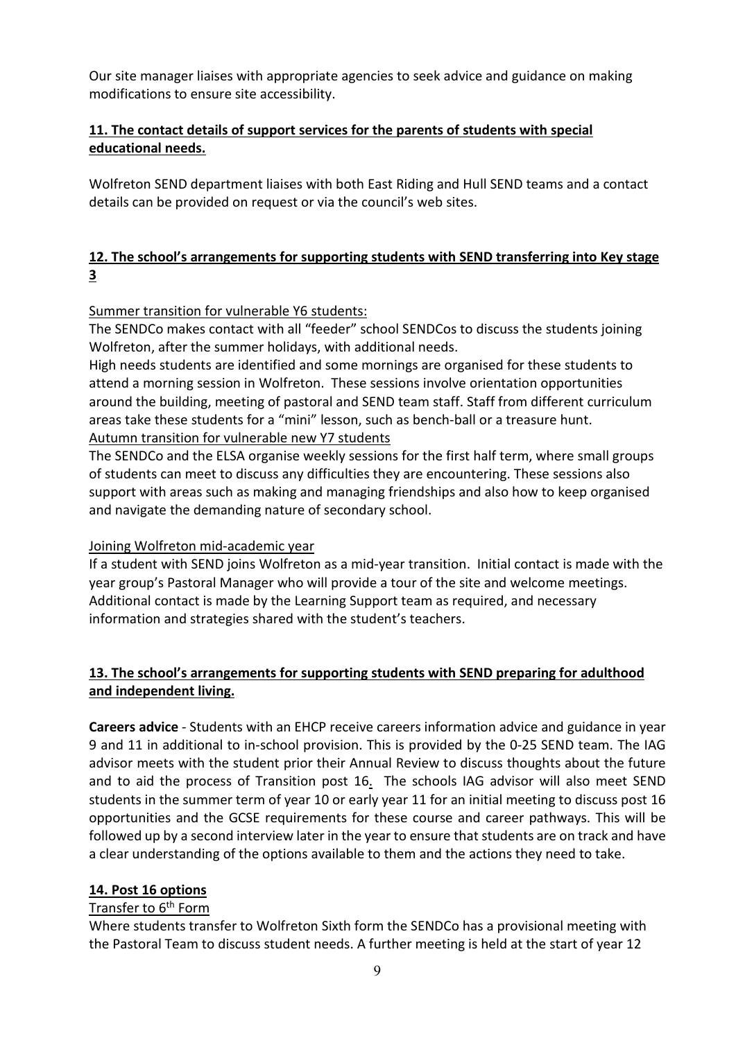Our site manager liaises with appropriate agencies to seek advice and guidance on making modifications to ensure site accessibility.

## **11. The contact details of support services for the parents of students with special educational needs.**

Wolfreton SEND department liaises with both East Riding and Hull SEND teams and a contact details can be provided on request or via the council's web sites.

# **12. The school's arrangements for supporting students with SEND transferring into Key stage 3**

### Summer transition for vulnerable Y6 students:

The SENDCo makes contact with all "feeder" school SENDCos to discuss the students joining Wolfreton, after the summer holidays, with additional needs.

High needs students are identified and some mornings are organised for these students to attend a morning session in Wolfreton. These sessions involve orientation opportunities around the building, meeting of pastoral and SEND team staff. Staff from different curriculum areas take these students for a "mini" lesson, such as bench-ball or a treasure hunt. Autumn transition for vulnerable new Y7 students

The SENDCo and the ELSA organise weekly sessions for the first half term, where small groups of students can meet to discuss any difficulties they are encountering. These sessions also support with areas such as making and managing friendships and also how to keep organised and navigate the demanding nature of secondary school.

# Joining Wolfreton mid-academic year

If a student with SEND joins Wolfreton as a mid-year transition. Initial contact is made with the year group's Pastoral Manager who will provide a tour of the site and welcome meetings. Additional contact is made by the Learning Support team as required, and necessary information and strategies shared with the student's teachers.

## **13. The school's arrangements for supporting students with SEND preparing for adulthood and independent living.**

**Careers advice** - Students with an EHCP receive careers information advice and guidance in year 9 and 11 in additional to in-school provision. This is provided by the 0-25 SEND team. The IAG advisor meets with the student prior their Annual Review to discuss thoughts about the future and to aid the process of Transition post 16. The schools IAG advisor will also meet SEND students in the summer term of year 10 or early year 11 for an initial meeting to discuss post 16 opportunities and the GCSE requirements for these course and career pathways. This will be followed up by a second interview later in the year to ensure that students are on track and have a clear understanding of the options available to them and the actions they need to take.

### **14. Post 16 options**

### Transfer to 6<sup>th</sup> Form

Where students transfer to Wolfreton Sixth form the SENDCo has a provisional meeting with the Pastoral Team to discuss student needs. A further meeting is held at the start of year 12